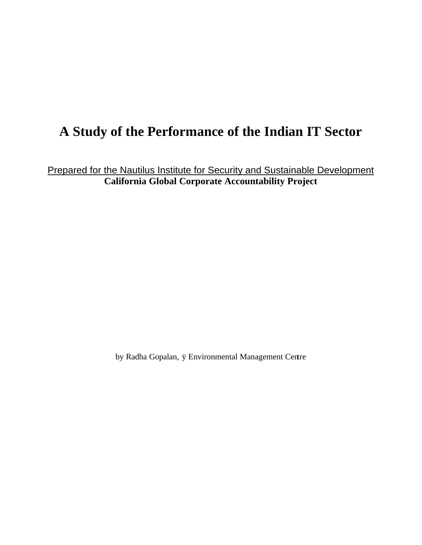## **A Study of the Performance of the Indian IT Sector**

Prepared for the Nautilus Institute for Security and Sustainable Development **California Global Corporate Accountability Project**

by Radha Gopalan*,* ÿ Environmental Management Centre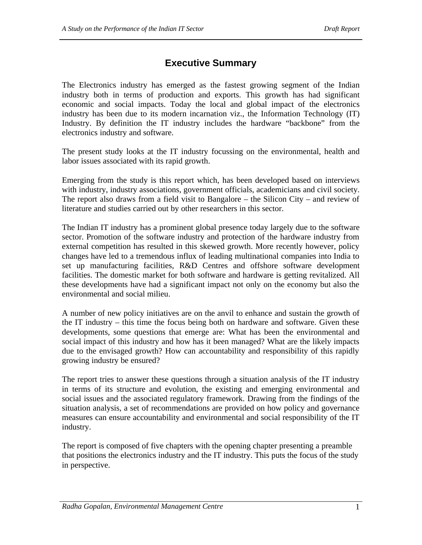## **Executive Summary**

The Electronics industry has emerged as the fastest growing segment of the Indian industry both in terms of production and exports. This growth has had significant economic and social impacts. Today the local and global impact of the electronics industry has been due to its modern incarnation viz., the Information Technology (IT) Industry. By definition the IT industry includes the hardware "backbone" from the electronics industry and software.

The present study looks at the IT industry focussing on the environmental, health and labor issues associated with its rapid growth.

Emerging from the study is this report which, has been developed based on interviews with industry, industry associations, government officials, academicians and civil society. The report also draws from a field visit to Bangalore – the Silicon City – and review of literature and studies carried out by other researchers in this sector.

The Indian IT industry has a prominent global presence today largely due to the software sector. Promotion of the software industry and protection of the hardware industry from external competition has resulted in this skewed growth. More recently however, policy changes have led to a tremendous influx of leading multinational companies into India to set up manufacturing facilities, R&D Centres and offshore software development facilities. The domestic market for both software and hardware is getting revitalized. All these developments have had a significant impact not only on the economy but also the environmental and social milieu.

A number of new policy initiatives are on the anvil to enhance and sustain the growth of the IT industry – this time the focus being both on hardware and software. Given these developments, some questions that emerge are: What has been the environmental and social impact of this industry and how has it been managed? What are the likely impacts due to the envisaged growth? How can accountability and responsibility of this rapidly growing industry be ensured?

The report tries to answer these questions through a situation analysis of the IT industry in terms of its structure and evolution, the existing and emerging environmental and social issues and the associated regulatory framework. Drawing from the findings of the situation analysis, a set of recommendations are provided on how policy and governance measures can ensure accountability and environmental and social responsibility of the IT industry.

The report is composed of five chapters with the opening chapter presenting a preamble that positions the electronics industry and the IT industry. This puts the focus of the study in perspective.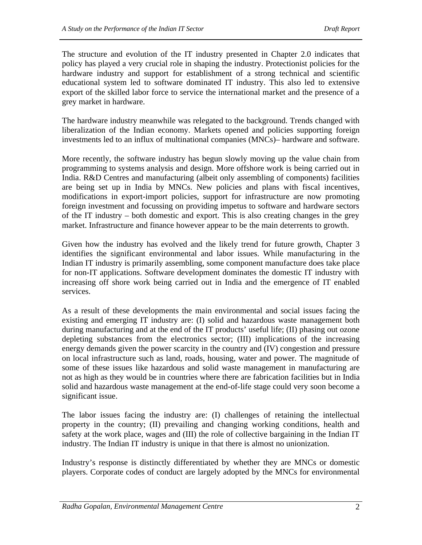The structure and evolution of the IT industry presented in Chapter 2.0 indicates that policy has played a very crucial role in shaping the industry. Protectionist policies for the hardware industry and support for establishment of a strong technical and scientific educational system led to software dominated IT industry. This also led to extensive export of the skilled labor force to service the international market and the presence of a grey market in hardware.

The hardware industry meanwhile was relegated to the background. Trends changed with liberalization of the Indian economy. Markets opened and policies supporting foreign investments led to an influx of multinational companies (MNCs)– hardware and software.

More recently, the software industry has begun slowly moving up the value chain from programming to systems analysis and design. More offshore work is being carried out in India. R&D Centres and manufacturing (albeit only assembling of components) facilities are being set up in India by MNCs. New policies and plans with fiscal incentives, modifications in export-import policies, support for infrastructure are now promoting foreign investment and focussing on providing impetus to software and hardware sectors of the IT industry – both domestic and export. This is also creating changes in the grey market. Infrastructure and finance however appear to be the main deterrents to growth.

Given how the industry has evolved and the likely trend for future growth, Chapter 3 identifies the significant environmental and labor issues. While manufacturing in the Indian IT industry is primarily assembling, some component manufacture does take place for non-IT applications. Software development dominates the domestic IT industry with increasing off shore work being carried out in India and the emergence of IT enabled services.

As a result of these developments the main environmental and social issues facing the existing and emerging IT industry are: (I) solid and hazardous waste management both during manufacturing and at the end of the IT products' useful life; (II) phasing out ozone depleting substances from the electronics sector; (III) implications of the increasing energy demands given the power scarcity in the country and (IV) congestion and pressure on local infrastructure such as land, roads, housing, water and power. The magnitude of some of these issues like hazardous and solid waste management in manufacturing are not as high as they would be in countries where there are fabrication facilities but in India solid and hazardous waste management at the end-of-life stage could very soon become a significant issue.

The labor issues facing the industry are: (I) challenges of retaining the intellectual property in the country; (II) prevailing and changing working conditions, health and safety at the work place, wages and (III) the role of collective bargaining in the Indian IT industry. The Indian IT industry is unique in that there is almost no unionization.

Industry's response is distinctly differentiated by whether they are MNCs or domestic players. Corporate codes of conduct are largely adopted by the MNCs for environmental